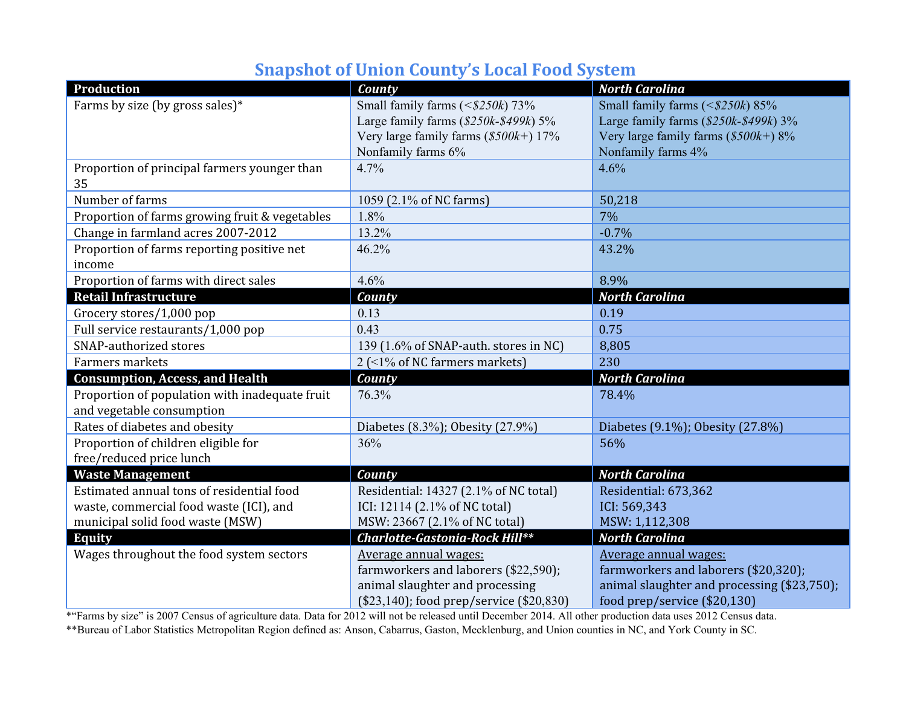## **Snapshot of Union County's Local Food System**

| Production                                         | County                                   | <b>North Carolina</b>                       |
|----------------------------------------------------|------------------------------------------|---------------------------------------------|
| Farms by size (by gross sales)*                    | Small family farms (< $$250k)$ 73%       | Small family farms $($250k) 85%$            |
|                                                    | Large family farms $(\$250k-\$499k)$ 5%  | Large family farms $(\$250k-\$499k)$ 3%     |
|                                                    | Very large family farms $(\$500k+)$ 17%  | Very large family farms $(\$500k+)$ 8%      |
|                                                    | Nonfamily farms 6%                       | Nonfamily farms 4%                          |
| Proportion of principal farmers younger than<br>35 | 4.7%                                     | 4.6%                                        |
| Number of farms                                    | 1059 (2.1% of NC farms)                  | 50,218                                      |
| Proportion of farms growing fruit & vegetables     | 1.8%                                     | 7%                                          |
| Change in farmland acres 2007-2012                 | 13.2%                                    | $-0.7%$                                     |
| Proportion of farms reporting positive net         | 46.2%                                    | 43.2%                                       |
| income                                             |                                          |                                             |
| Proportion of farms with direct sales              | 4.6%                                     | 8.9%                                        |
| <b>Retail Infrastructure</b>                       | County                                   | <b>North Carolina</b>                       |
| Grocery stores/1,000 pop                           | 0.13                                     | 0.19                                        |
| Full service restaurants/1,000 pop                 | 0.43                                     | 0.75                                        |
| SNAP-authorized stores                             | 139 (1.6% of SNAP-auth. stores in NC)    | 8,805                                       |
| Farmers markets                                    | $2$ (<1% of NC farmers markets)          | 230                                         |
| <b>Consumption, Access, and Health</b>             | County                                   | <b>North Carolina</b>                       |
| Proportion of population with inadequate fruit     | 76.3%                                    | 78.4%                                       |
| and vegetable consumption                          |                                          |                                             |
| Rates of diabetes and obesity                      | Diabetes (8.3%); Obesity (27.9%)         | Diabetes (9.1%); Obesity (27.8%)            |
| Proportion of children eligible for                | 36%                                      | 56%                                         |
| free/reduced price lunch                           |                                          |                                             |
| <b>Waste Management</b>                            | County                                   | <b>North Carolina</b>                       |
| Estimated annual tons of residential food          | Residential: 14327 (2.1% of NC total)    | Residential: 673,362                        |
| waste, commercial food waste (ICI), and            | ICI: 12114 (2.1% of NC total)            | ICI: 569,343                                |
| municipal solid food waste (MSW)                   | MSW: 23667 (2.1% of NC total)            | MSW: 1,112,308                              |
| <b>Equity</b>                                      | Charlotte-Gastonia-Rock Hill**           | <b>North Carolina</b>                       |
| Wages throughout the food system sectors           | Average annual wages:                    | Average annual wages:                       |
|                                                    | farmworkers and laborers (\$22,590);     | farmworkers and laborers (\$20,320);        |
|                                                    | animal slaughter and processing          | animal slaughter and processing (\$23,750); |
|                                                    | (\$23,140); food prep/service (\$20,830) | food prep/service (\$20,130)                |

\*"Farms by size" is 2007 Census of agriculture data. Data for 2012 will not be released until December 2014. All other production data uses 2012 Census data. \*\*Bureau of Labor Statistics Metropolitan Region defined as: Anson, Cabarrus, Gaston, Mecklenburg, and Union counties in NC, and York County in SC.